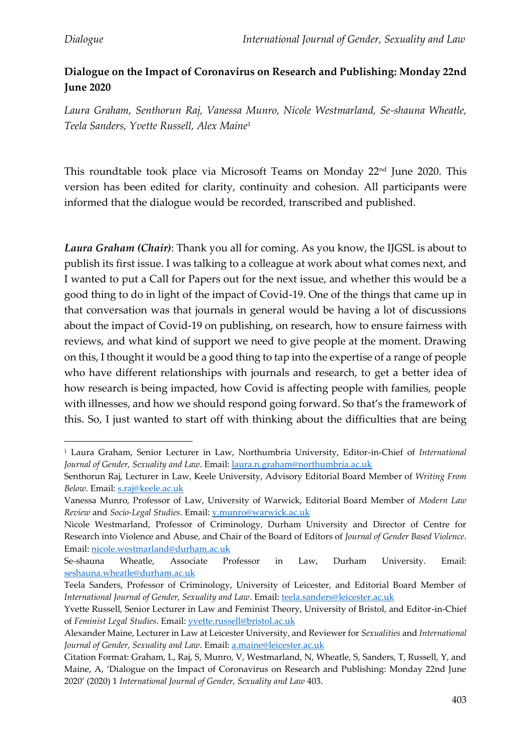## **Dialogue on the Impact of Coronavirus on Research and Publishing: Monday 22nd June 2020**

*Laura Graham, Senthorun Raj, Vanessa Munro, Nicole Westmarland, Se-shauna Wheatle, Teela Sanders, Yvette Russell, Alex Maine*<sup>1</sup>

This roundtable took place via Microsoft Teams on Monday 22nd June 2020. This version has been edited for clarity, continuity and cohesion. All participants were informed that the dialogue would be recorded, transcribed and published.

*Laura Graham (Chair)*: Thank you all for coming. As you know, the IJGSL is about to publish its first issue. I was talking to a colleague at work about what comes next, and I wanted to put a Call for Papers out for the next issue, and whether this would be a good thing to do in light of the impact of Covid-19. One of the things that came up in that conversation was that journals in general would be having a lot of discussions about the impact of Covid-19 on publishing, on research, how to ensure fairness with reviews, and what kind of support we need to give people at the moment. Drawing on this, I thought it would be a good thing to tap into the expertise of a range of people who have different relationships with journals and research, to get a better idea of how research is being impacted, how Covid is affecting people with families, people with illnesses, and how we should respond going forward. So that's the framework of this. So, I just wanted to start off with thinking about the difficulties that are being

<sup>1</sup> Laura Graham, Senior Lecturer in Law, Northumbria University, Editor-in-Chief of *International Journal of Gender, Sexuality and Law*. Email: [laura.n.graham@northumbria.ac.uk](mailto:laura.n.graham@northumbria.ac.uk)

Senthorun Raj, Lecturer in Law, Keele University, Advisory Editorial Board Member of *Writing From Below*. Email: [s.raj@keele.ac.uk](mailto:s.raj@keele.ac.uk)

Vanessa Munro, Professor of Law, University of Warwick, Editorial Board Member of *Modern Law Review* and *Socio-Legal Studies*. Email: [v.munro@warwick.ac.uk](mailto:v.munro@warwick.ac.uk)

Nicole Westmarland, Professor of Criminology, Durham University and Director of Centre for Research into Violence and Abuse, and Chair of the Board of Editors of *Journal of Gender Based Violence*. Email: [nicole.westmarland@durham.ac.uk](mailto:nicole.westmarland@durham.ac.uk)

Se-shauna Wheatle, Associate Professor in Law, Durham University. Email: [seshauna.wheatle@durham.ac.uk](mailto:seshauna.wheatle@durham.ac.uk)

Teela Sanders, Professor of Criminology, University of Leicester, and Editorial Board Member of *International Journal of Gender, Sexuality and Law*. Email: [teela.sanders@leicester.ac.uk](mailto:teela.sanders@leicester.ac.uk)

Yvette Russell, Senior Lecturer in Law and Feminist Theory, University of Bristol, and Editor-in-Chief of *Feminist Legal Studies*. Email: [yvette.russell@bristol.ac.uk](mailto:yvette.russell@bristol.ac.uk)

Alexander Maine, Lecturer in Law at Leicester University, and Reviewer for *Sexualities* and *International Journal of Gender, Sexuality and Law*. Email: [a.maine@leicester.ac.uk](mailto:a.maine@leicester.ac.uk)

Citation Format: Graham, L, Raj, S, Munro, V, Westmarland, N, Wheatle, S, Sanders, T, Russell, Y, and Maine, A, 'Dialogue on the Impact of Coronavirus on Research and Publishing: Monday 22nd June 2020' (2020) 1 *International Journal of Gender, Sexuality and Law* 403.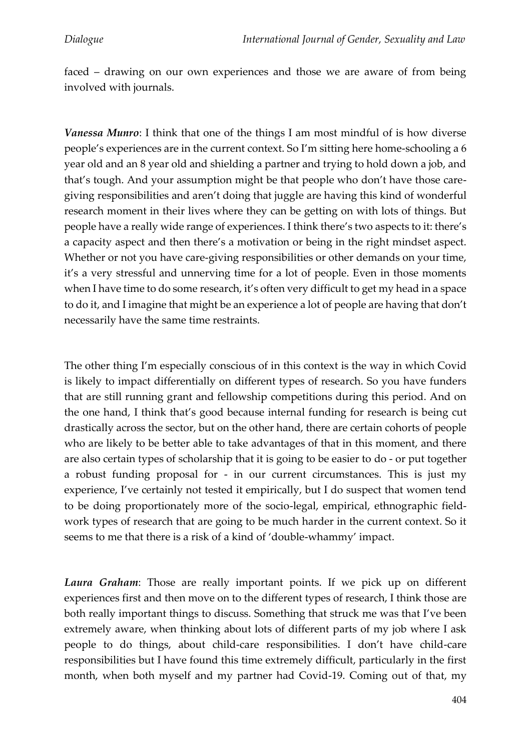faced – drawing on our own experiences and those we are aware of from being involved with journals.

*Vanessa Munro*: I think that one of the things I am most mindful of is how diverse people's experiences are in the current context. So I'm sitting here home-schooling a 6 year old and an 8 year old and shielding a partner and trying to hold down a job, and that's tough. And your assumption might be that people who don't have those caregiving responsibilities and aren't doing that juggle are having this kind of wonderful research moment in their lives where they can be getting on with lots of things. But people have a really wide range of experiences. I think there's two aspects to it: there's a capacity aspect and then there's a motivation or being in the right mindset aspect. Whether or not you have care-giving responsibilities or other demands on your time, it's a very stressful and unnerving time for a lot of people. Even in those moments when I have time to do some research, it's often very difficult to get my head in a space to do it, and I imagine that might be an experience a lot of people are having that don't necessarily have the same time restraints.

The other thing I'm especially conscious of in this context is the way in which Covid is likely to impact differentially on different types of research. So you have funders that are still running grant and fellowship competitions during this period. And on the one hand, I think that's good because internal funding for research is being cut drastically across the sector, but on the other hand, there are certain cohorts of people who are likely to be better able to take advantages of that in this moment, and there are also certain types of scholarship that it is going to be easier to do - or put together a robust funding proposal for - in our current circumstances. This is just my experience, I've certainly not tested it empirically, but I do suspect that women tend to be doing proportionately more of the socio-legal, empirical, ethnographic fieldwork types of research that are going to be much harder in the current context. So it seems to me that there is a risk of a kind of 'double-whammy' impact.

*Laura Graham*: Those are really important points. If we pick up on different experiences first and then move on to the different types of research, I think those are both really important things to discuss. Something that struck me was that I've been extremely aware, when thinking about lots of different parts of my job where I ask people to do things, about child-care responsibilities. I don't have child-care responsibilities but I have found this time extremely difficult, particularly in the first month, when both myself and my partner had Covid-19. Coming out of that, my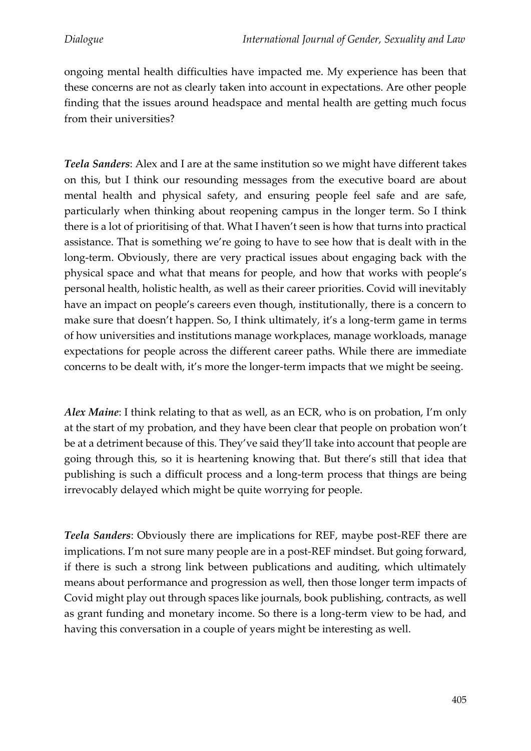ongoing mental health difficulties have impacted me. My experience has been that these concerns are not as clearly taken into account in expectations. Are other people finding that the issues around headspace and mental health are getting much focus from their universities?

*Teela Sanders*: Alex and I are at the same institution so we might have different takes on this, but I think our resounding messages from the executive board are about mental health and physical safety, and ensuring people feel safe and are safe, particularly when thinking about reopening campus in the longer term. So I think there is a lot of prioritising of that. What I haven't seen is how that turns into practical assistance. That is something we're going to have to see how that is dealt with in the long-term. Obviously, there are very practical issues about engaging back with the physical space and what that means for people, and how that works with people's personal health, holistic health, as well as their career priorities. Covid will inevitably have an impact on people's careers even though, institutionally, there is a concern to make sure that doesn't happen. So, I think ultimately, it's a long-term game in terms of how universities and institutions manage workplaces, manage workloads, manage expectations for people across the different career paths. While there are immediate concerns to be dealt with, it's more the longer-term impacts that we might be seeing.

*Alex Maine*: I think relating to that as well, as an ECR, who is on probation, I'm only at the start of my probation, and they have been clear that people on probation won't be at a detriment because of this. They've said they'll take into account that people are going through this, so it is heartening knowing that. But there's still that idea that publishing is such a difficult process and a long-term process that things are being irrevocably delayed which might be quite worrying for people.

*Teela Sanders*: Obviously there are implications for REF, maybe post-REF there are implications. I'm not sure many people are in a post-REF mindset. But going forward, if there is such a strong link between publications and auditing, which ultimately means about performance and progression as well, then those longer term impacts of Covid might play out through spaces like journals, book publishing, contracts, as well as grant funding and monetary income. So there is a long-term view to be had, and having this conversation in a couple of years might be interesting as well.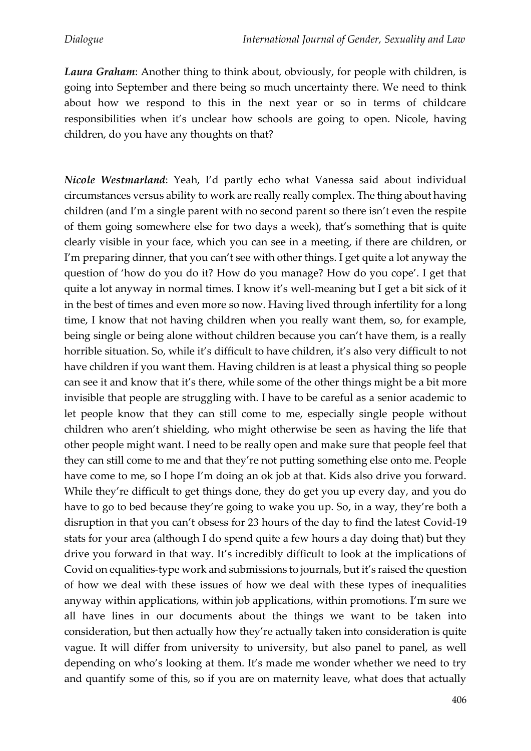*Laura Graham*: Another thing to think about, obviously, for people with children, is going into September and there being so much uncertainty there. We need to think about how we respond to this in the next year or so in terms of childcare responsibilities when it's unclear how schools are going to open. Nicole, having children, do you have any thoughts on that?

*Nicole Westmarland*: Yeah, I'd partly echo what Vanessa said about individual circumstances versus ability to work are really really complex. The thing about having children (and I'm a single parent with no second parent so there isn't even the respite of them going somewhere else for two days a week), that's something that is quite clearly visible in your face, which you can see in a meeting, if there are children, or I'm preparing dinner, that you can't see with other things. I get quite a lot anyway the question of 'how do you do it? How do you manage? How do you cope'. I get that quite a lot anyway in normal times. I know it's well-meaning but I get a bit sick of it in the best of times and even more so now. Having lived through infertility for a long time, I know that not having children when you really want them, so, for example, being single or being alone without children because you can't have them, is a really horrible situation. So, while it's difficult to have children, it's also very difficult to not have children if you want them. Having children is at least a physical thing so people can see it and know that it's there, while some of the other things might be a bit more invisible that people are struggling with. I have to be careful as a senior academic to let people know that they can still come to me, especially single people without children who aren't shielding, who might otherwise be seen as having the life that other people might want. I need to be really open and make sure that people feel that they can still come to me and that they're not putting something else onto me. People have come to me, so I hope I'm doing an ok job at that. Kids also drive you forward. While they're difficult to get things done, they do get you up every day, and you do have to go to bed because they're going to wake you up. So, in a way, they're both a disruption in that you can't obsess for 23 hours of the day to find the latest Covid-19 stats for your area (although I do spend quite a few hours a day doing that) but they drive you forward in that way. It's incredibly difficult to look at the implications of Covid on equalities-type work and submissions to journals, but it's raised the question of how we deal with these issues of how we deal with these types of inequalities anyway within applications, within job applications, within promotions. I'm sure we all have lines in our documents about the things we want to be taken into consideration, but then actually how they're actually taken into consideration is quite vague. It will differ from university to university, but also panel to panel, as well depending on who's looking at them. It's made me wonder whether we need to try and quantify some of this, so if you are on maternity leave, what does that actually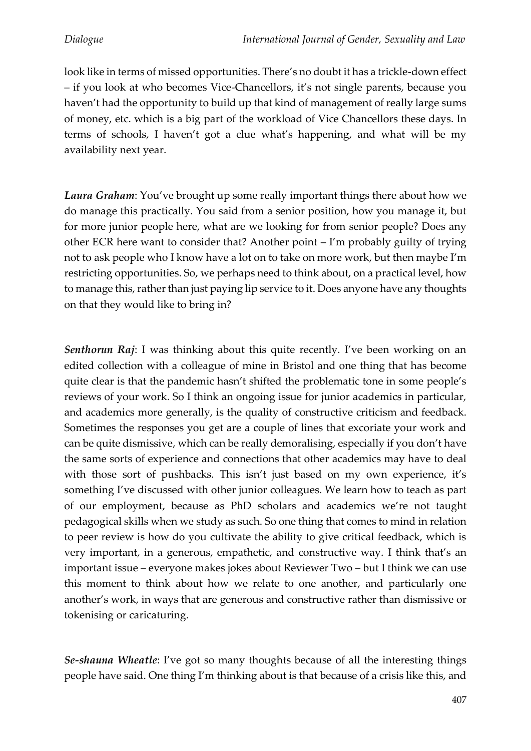look like in terms of missed opportunities. There's no doubt it has a trickle-down effect – if you look at who becomes Vice-Chancellors, it's not single parents, because you haven't had the opportunity to build up that kind of management of really large sums of money, etc. which is a big part of the workload of Vice Chancellors these days. In terms of schools, I haven't got a clue what's happening, and what will be my availability next year.

*Laura Graham*: You've brought up some really important things there about how we do manage this practically. You said from a senior position, how you manage it, but for more junior people here, what are we looking for from senior people? Does any other ECR here want to consider that? Another point – I'm probably guilty of trying not to ask people who I know have a lot on to take on more work, but then maybe I'm restricting opportunities. So, we perhaps need to think about, on a practical level, how to manage this, rather than just paying lip service to it. Does anyone have any thoughts on that they would like to bring in?

*Senthorun Raj*: I was thinking about this quite recently. I've been working on an edited collection with a colleague of mine in Bristol and one thing that has become quite clear is that the pandemic hasn't shifted the problematic tone in some people's reviews of your work. So I think an ongoing issue for junior academics in particular, and academics more generally, is the quality of constructive criticism and feedback. Sometimes the responses you get are a couple of lines that excoriate your work and can be quite dismissive, which can be really demoralising, especially if you don't have the same sorts of experience and connections that other academics may have to deal with those sort of pushbacks. This isn't just based on my own experience, it's something I've discussed with other junior colleagues. We learn how to teach as part of our employment, because as PhD scholars and academics we're not taught pedagogical skills when we study as such. So one thing that comes to mind in relation to peer review is how do you cultivate the ability to give critical feedback, which is very important, in a generous, empathetic, and constructive way. I think that's an important issue – everyone makes jokes about Reviewer Two – but I think we can use this moment to think about how we relate to one another, and particularly one another's work, in ways that are generous and constructive rather than dismissive or tokenising or caricaturing.

*Se-shauna Wheatle*: I've got so many thoughts because of all the interesting things people have said. One thing I'm thinking about is that because of a crisis like this, and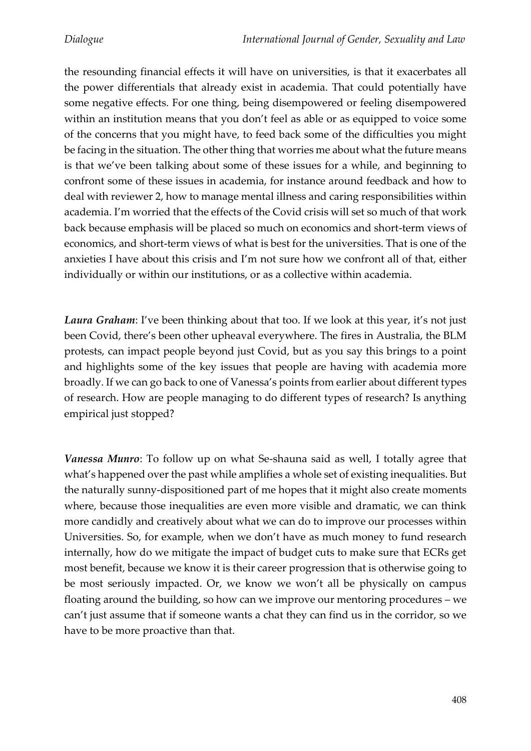the resounding financial effects it will have on universities, is that it exacerbates all the power differentials that already exist in academia. That could potentially have some negative effects. For one thing, being disempowered or feeling disempowered within an institution means that you don't feel as able or as equipped to voice some of the concerns that you might have, to feed back some of the difficulties you might be facing in the situation. The other thing that worries me about what the future means is that we've been talking about some of these issues for a while, and beginning to confront some of these issues in academia, for instance around feedback and how to deal with reviewer 2, how to manage mental illness and caring responsibilities within academia. I'm worried that the effects of the Covid crisis will set so much of that work back because emphasis will be placed so much on economics and short-term views of economics, and short-term views of what is best for the universities. That is one of the anxieties I have about this crisis and I'm not sure how we confront all of that, either individually or within our institutions, or as a collective within academia.

*Laura Graham*: I've been thinking about that too. If we look at this year, it's not just been Covid, there's been other upheaval everywhere. The fires in Australia, the BLM protests, can impact people beyond just Covid, but as you say this brings to a point and highlights some of the key issues that people are having with academia more broadly. If we can go back to one of Vanessa's points from earlier about different types of research. How are people managing to do different types of research? Is anything empirical just stopped?

*Vanessa Munro*: To follow up on what Se-shauna said as well, I totally agree that what's happened over the past while amplifies a whole set of existing inequalities. But the naturally sunny-dispositioned part of me hopes that it might also create moments where, because those inequalities are even more visible and dramatic, we can think more candidly and creatively about what we can do to improve our processes within Universities. So, for example, when we don't have as much money to fund research internally, how do we mitigate the impact of budget cuts to make sure that ECRs get most benefit, because we know it is their career progression that is otherwise going to be most seriously impacted. Or, we know we won't all be physically on campus floating around the building, so how can we improve our mentoring procedures – we can't just assume that if someone wants a chat they can find us in the corridor, so we have to be more proactive than that.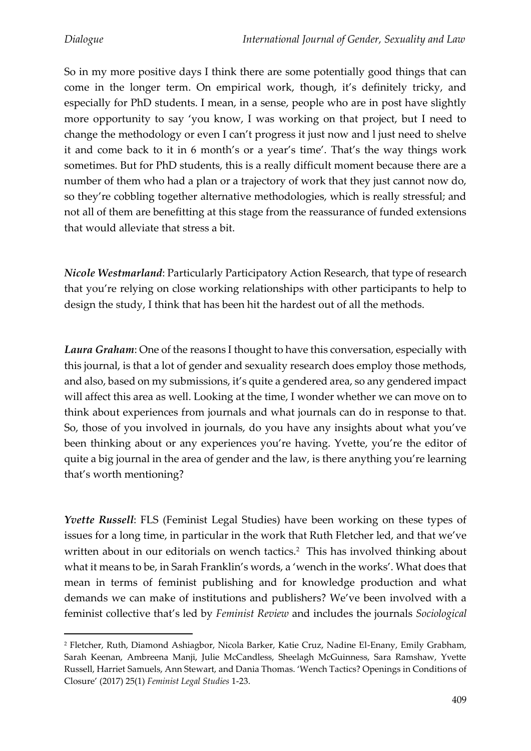So in my more positive days I think there are some potentially good things that can come in the longer term. On empirical work, though, it's definitely tricky, and especially for PhD students. I mean, in a sense, people who are in post have slightly more opportunity to say 'you know, I was working on that project, but I need to change the methodology or even I can't progress it just now and l just need to shelve it and come back to it in 6 month's or a year's time'. That's the way things work sometimes. But for PhD students, this is a really difficult moment because there are a number of them who had a plan or a trajectory of work that they just cannot now do, so they're cobbling together alternative methodologies, which is really stressful; and not all of them are benefitting at this stage from the reassurance of funded extensions that would alleviate that stress a bit.

*Nicole Westmarland*: Particularly Participatory Action Research, that type of research that you're relying on close working relationships with other participants to help to design the study, I think that has been hit the hardest out of all the methods.

*Laura Graham*: One of the reasons I thought to have this conversation, especially with this journal, is that a lot of gender and sexuality research does employ those methods, and also, based on my submissions, it's quite a gendered area, so any gendered impact will affect this area as well. Looking at the time, I wonder whether we can move on to think about experiences from journals and what journals can do in response to that. So, those of you involved in journals, do you have any insights about what you've been thinking about or any experiences you're having. Yvette, you're the editor of quite a big journal in the area of gender and the law, is there anything you're learning that's worth mentioning?

*Yvette Russell*: FLS (Feminist Legal Studies) have been working on these types of issues for a long time, in particular in the work that Ruth Fletcher led, and that we've written about in our editorials on wench tactics.<sup>2</sup> This has involved thinking about what it means to be, in Sarah Franklin's words, a 'wench in the works'. What does that mean in terms of feminist publishing and for knowledge production and what demands we can make of institutions and publishers? We've been involved with a feminist collective that's led by *Feminist Review* and includes the journals *Sociological* 

<sup>2</sup> Fletcher, Ruth, Diamond Ashiagbor, Nicola Barker, Katie Cruz, Nadine El-Enany, Emily Grabham, Sarah Keenan, Ambreena Manji, Julie McCandless, Sheelagh McGuinness, Sara Ramshaw, Yvette Russell, Harriet Samuels, Ann Stewart, and Dania Thomas. 'Wench Tactics? Openings in Conditions of Closure' (2017) 25(1) *Feminist Legal Studies* 1-23.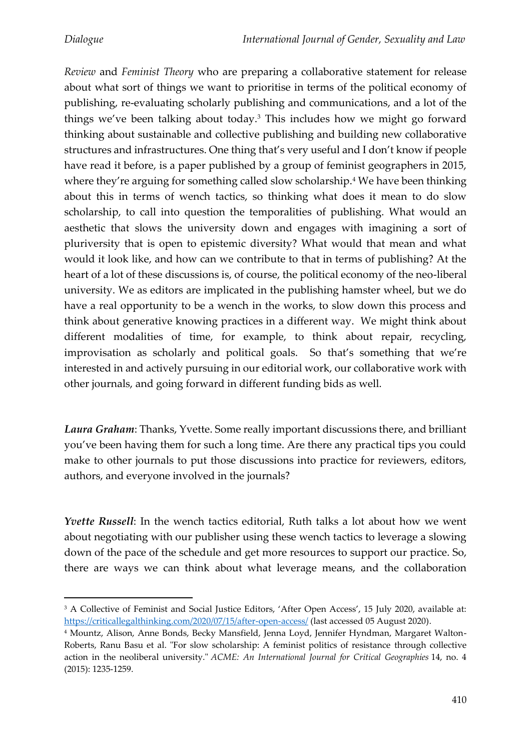*Review* and *Feminist Theory* who are preparing a collaborative statement for release about what sort of things we want to prioritise in terms of the political economy of publishing, re-evaluating scholarly publishing and communications, and a lot of the things we've been talking about today.<sup>3</sup> This includes how we might go forward thinking about sustainable and collective publishing and building new collaborative structures and infrastructures. One thing that's very useful and I don't know if people have read it before, is a paper published by a group of feminist geographers in 2015, where they're arguing for something called slow scholarship.<sup>4</sup> We have been thinking about this in terms of wench tactics, so thinking what does it mean to do slow scholarship, to call into question the temporalities of publishing. What would an aesthetic that slows the university down and engages with imagining a sort of pluriversity that is open to epistemic diversity? What would that mean and what would it look like, and how can we contribute to that in terms of publishing? At the heart of a lot of these discussions is, of course, the political economy of the neo-liberal university. We as editors are implicated in the publishing hamster wheel, but we do have a real opportunity to be a wench in the works, to slow down this process and think about generative knowing practices in a different way. We might think about different modalities of time, for example, to think about repair, recycling, improvisation as scholarly and political goals. So that's something that we're interested in and actively pursuing in our editorial work, our collaborative work with other journals, and going forward in different funding bids as well.

*Laura Graham*: Thanks, Yvette. Some really important discussions there, and brilliant you've been having them for such a long time. Are there any practical tips you could make to other journals to put those discussions into practice for reviewers, editors, authors, and everyone involved in the journals?

*Yvette Russell*: In the wench tactics editorial, Ruth talks a lot about how we went about negotiating with our publisher using these wench tactics to leverage a slowing down of the pace of the schedule and get more resources to support our practice. So, there are ways we can think about what leverage means, and the collaboration

<sup>&</sup>lt;sup>3</sup> A Collective of Feminist and Social Justice Editors, 'After Open Access', 15 July 2020, available at: <https://criticallegalthinking.com/2020/07/15/after-open-access/> (last accessed 05 August 2020).

<sup>4</sup> Mountz, Alison, Anne Bonds, Becky Mansfield, Jenna Loyd, Jennifer Hyndman, Margaret Walton-Roberts, Ranu Basu et al. "For slow scholarship: A feminist politics of resistance through collective action in the neoliberal university." *ACME: An International Journal for Critical Geographies* 14, no. 4 (2015): 1235-1259.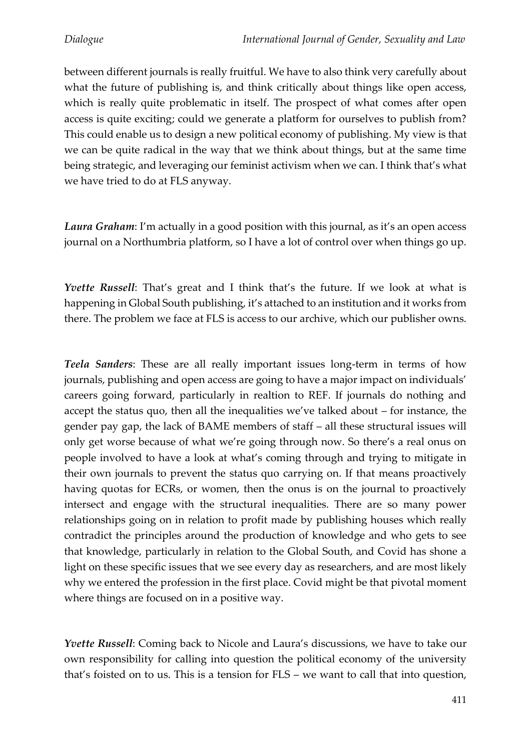between different journals is really fruitful. We have to also think very carefully about what the future of publishing is, and think critically about things like open access, which is really quite problematic in itself. The prospect of what comes after open access is quite exciting; could we generate a platform for ourselves to publish from? This could enable us to design a new political economy of publishing. My view is that we can be quite radical in the way that we think about things, but at the same time being strategic, and leveraging our feminist activism when we can. I think that's what we have tried to do at FLS anyway.

*Laura Graham*: I'm actually in a good position with this journal, as it's an open access journal on a Northumbria platform, so I have a lot of control over when things go up.

*Yvette Russell*: That's great and I think that's the future. If we look at what is happening in Global South publishing, it's attached to an institution and it works from there. The problem we face at FLS is access to our archive, which our publisher owns.

*Teela Sanders*: These are all really important issues long-term in terms of how journals, publishing and open access are going to have a major impact on individuals' careers going forward, particularly in realtion to REF. If journals do nothing and accept the status quo, then all the inequalities we've talked about – for instance, the gender pay gap, the lack of BAME members of staff – all these structural issues will only get worse because of what we're going through now. So there's a real onus on people involved to have a look at what's coming through and trying to mitigate in their own journals to prevent the status quo carrying on. If that means proactively having quotas for ECRs, or women, then the onus is on the journal to proactively intersect and engage with the structural inequalities. There are so many power relationships going on in relation to profit made by publishing houses which really contradict the principles around the production of knowledge and who gets to see that knowledge, particularly in relation to the Global South, and Covid has shone a light on these specific issues that we see every day as researchers, and are most likely why we entered the profession in the first place. Covid might be that pivotal moment where things are focused on in a positive way.

*Yvette Russell*: Coming back to Nicole and Laura's discussions, we have to take our own responsibility for calling into question the political economy of the university that's foisted on to us. This is a tension for FLS – we want to call that into question,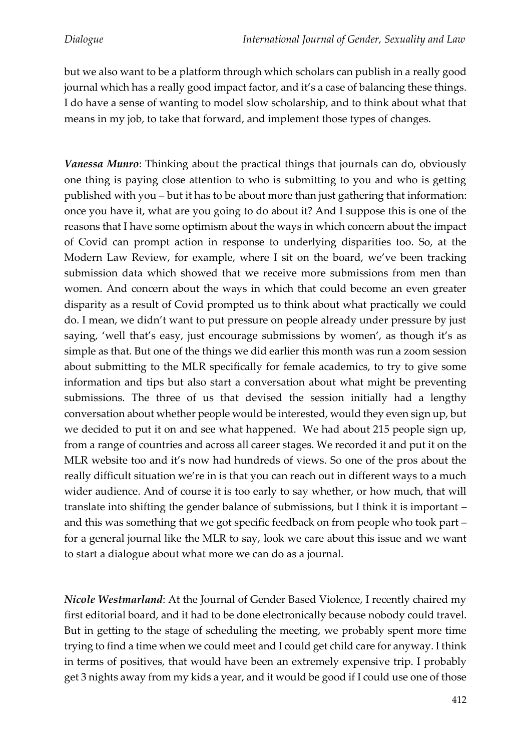but we also want to be a platform through which scholars can publish in a really good journal which has a really good impact factor, and it's a case of balancing these things. I do have a sense of wanting to model slow scholarship, and to think about what that means in my job, to take that forward, and implement those types of changes.

*Vanessa Munro*: Thinking about the practical things that journals can do, obviously one thing is paying close attention to who is submitting to you and who is getting published with you – but it has to be about more than just gathering that information: once you have it, what are you going to do about it? And I suppose this is one of the reasons that I have some optimism about the ways in which concern about the impact of Covid can prompt action in response to underlying disparities too. So, at the Modern Law Review, for example, where I sit on the board, we've been tracking submission data which showed that we receive more submissions from men than women. And concern about the ways in which that could become an even greater disparity as a result of Covid prompted us to think about what practically we could do. I mean, we didn't want to put pressure on people already under pressure by just saying, 'well that's easy, just encourage submissions by women', as though it's as simple as that. But one of the things we did earlier this month was run a zoom session about submitting to the MLR specifically for female academics, to try to give some information and tips but also start a conversation about what might be preventing submissions. The three of us that devised the session initially had a lengthy conversation about whether people would be interested, would they even sign up, but we decided to put it on and see what happened. We had about 215 people sign up, from a range of countries and across all career stages. We recorded it and put it on the MLR website too and it's now had hundreds of views. So one of the pros about the really difficult situation we're in is that you can reach out in different ways to a much wider audience. And of course it is too early to say whether, or how much, that will translate into shifting the gender balance of submissions, but I think it is important – and this was something that we got specific feedback on from people who took part – for a general journal like the MLR to say, look we care about this issue and we want to start a dialogue about what more we can do as a journal.

*Nicole Westmarland*: At the Journal of Gender Based Violence, I recently chaired my first editorial board, and it had to be done electronically because nobody could travel. But in getting to the stage of scheduling the meeting, we probably spent more time trying to find a time when we could meet and I could get child care for anyway. I think in terms of positives, that would have been an extremely expensive trip. I probably get 3 nights away from my kids a year, and it would be good if I could use one of those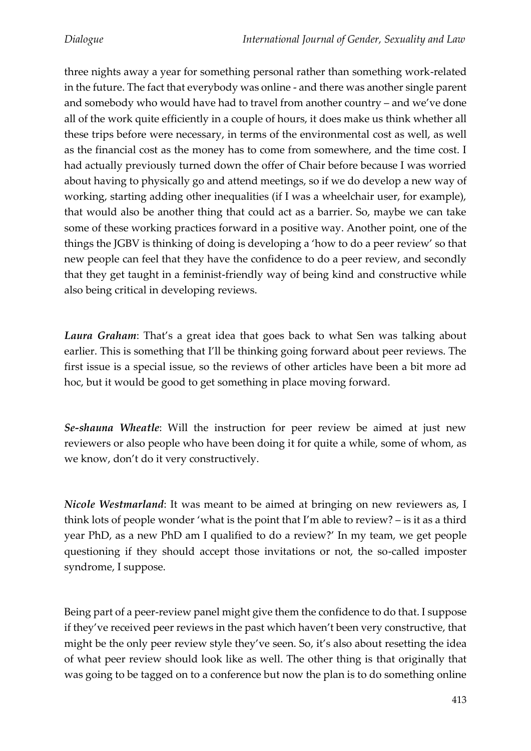three nights away a year for something personal rather than something work-related in the future. The fact that everybody was online - and there was another single parent and somebody who would have had to travel from another country – and we've done all of the work quite efficiently in a couple of hours, it does make us think whether all these trips before were necessary, in terms of the environmental cost as well, as well as the financial cost as the money has to come from somewhere, and the time cost. I had actually previously turned down the offer of Chair before because I was worried about having to physically go and attend meetings, so if we do develop a new way of working, starting adding other inequalities (if I was a wheelchair user, for example), that would also be another thing that could act as a barrier. So, maybe we can take some of these working practices forward in a positive way. Another point, one of the things the JGBV is thinking of doing is developing a 'how to do a peer review' so that new people can feel that they have the confidence to do a peer review, and secondly that they get taught in a feminist-friendly way of being kind and constructive while also being critical in developing reviews.

*Laura Graham*: That's a great idea that goes back to what Sen was talking about earlier. This is something that I'll be thinking going forward about peer reviews. The first issue is a special issue, so the reviews of other articles have been a bit more ad hoc, but it would be good to get something in place moving forward.

*Se-shauna Wheatle*: Will the instruction for peer review be aimed at just new reviewers or also people who have been doing it for quite a while, some of whom, as we know, don't do it very constructively.

*Nicole Westmarland*: It was meant to be aimed at bringing on new reviewers as, I think lots of people wonder 'what is the point that I'm able to review? – is it as a third year PhD, as a new PhD am I qualified to do a review?' In my team, we get people questioning if they should accept those invitations or not, the so-called imposter syndrome, I suppose.

Being part of a peer-review panel might give them the confidence to do that. I suppose if they've received peer reviews in the past which haven't been very constructive, that might be the only peer review style they've seen. So, it's also about resetting the idea of what peer review should look like as well. The other thing is that originally that was going to be tagged on to a conference but now the plan is to do something online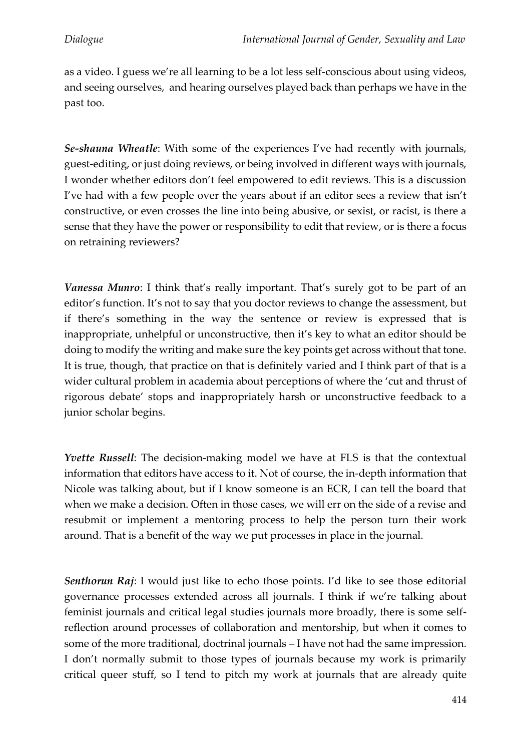as a video. I guess we're all learning to be a lot less self-conscious about using videos, and seeing ourselves, and hearing ourselves played back than perhaps we have in the past too.

*Se-shauna Wheatle*: With some of the experiences I've had recently with journals, guest-editing, or just doing reviews, or being involved in different ways with journals, I wonder whether editors don't feel empowered to edit reviews. This is a discussion I've had with a few people over the years about if an editor sees a review that isn't constructive, or even crosses the line into being abusive, or sexist, or racist, is there a sense that they have the power or responsibility to edit that review, or is there a focus on retraining reviewers?

*Vanessa Munro*: I think that's really important. That's surely got to be part of an editor's function. It's not to say that you doctor reviews to change the assessment, but if there's something in the way the sentence or review is expressed that is inappropriate, unhelpful or unconstructive, then it's key to what an editor should be doing to modify the writing and make sure the key points get across without that tone. It is true, though, that practice on that is definitely varied and I think part of that is a wider cultural problem in academia about perceptions of where the 'cut and thrust of rigorous debate' stops and inappropriately harsh or unconstructive feedback to a junior scholar begins.

*Yvette Russell*: The decision-making model we have at FLS is that the contextual information that editors have access to it. Not of course, the in-depth information that Nicole was talking about, but if I know someone is an ECR, I can tell the board that when we make a decision. Often in those cases, we will err on the side of a revise and resubmit or implement a mentoring process to help the person turn their work around. That is a benefit of the way we put processes in place in the journal.

*Senthorun Raj*: I would just like to echo those points. I'd like to see those editorial governance processes extended across all journals. I think if we're talking about feminist journals and critical legal studies journals more broadly, there is some selfreflection around processes of collaboration and mentorship, but when it comes to some of the more traditional, doctrinal journals – I have not had the same impression. I don't normally submit to those types of journals because my work is primarily critical queer stuff, so I tend to pitch my work at journals that are already quite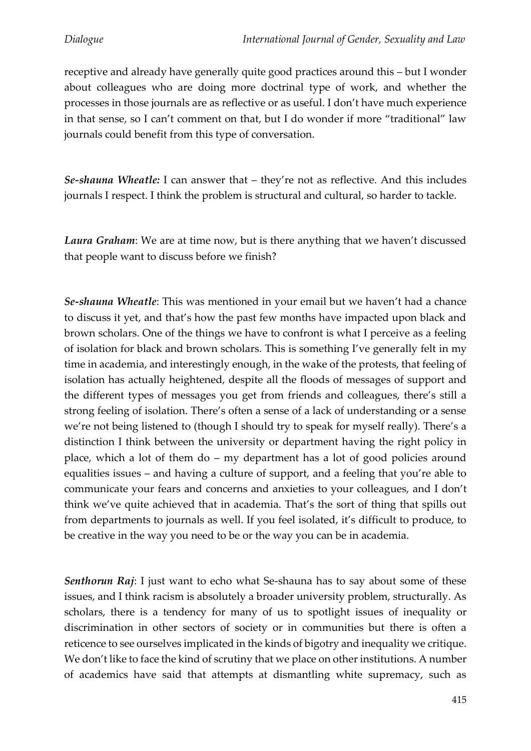receptive and already have generally quite good practices around this – but I wonder about colleagues who are doing more doctrinal type of work, and whether the processes in those journals are as reflective or as useful. I don't have much experience in that sense, so I can't comment on that, but I do wonder if more "traditional" law journals could benefit from this type of conversation.

*Se-shauna Wheatle:* I can answer that – they're not as reflective. And this includes journals I respect. I think the problem is structural and cultural, so harder to tackle.

*Laura Graham*: We are at time now, but is there anything that we haven't discussed that people want to discuss before we finish?

*Se-shauna Wheatle*: This was mentioned in your email but we haven't had a chance to discuss it yet, and that's how the past few months have impacted upon black and brown scholars. One of the things we have to confront is what I perceive as a feeling of isolation for black and brown scholars. This is something I've generally felt in my time in academia, and interestingly enough, in the wake of the protests, that feeling of isolation has actually heightened, despite all the floods of messages of support and the different types of messages you get from friends and colleagues, there's still a strong feeling of isolation. There's often a sense of a lack of understanding or a sense we're not being listened to (though I should try to speak for myself really). There's a distinction I think between the university or department having the right policy in place, which a lot of them do – my department has a lot of good policies around equalities issues – and having a culture of support, and a feeling that you're able to communicate your fears and concerns and anxieties to your colleagues, and I don't think we've quite achieved that in academia. That's the sort of thing that spills out from departments to journals as well. If you feel isolated, it's difficult to produce, to be creative in the way you need to be or the way you can be in academia.

*Senthorun Raj*: I just want to echo what Se-shauna has to say about some of these issues, and I think racism is absolutely a broader university problem, structurally. As scholars, there is a tendency for many of us to spotlight issues of inequality or discrimination in other sectors of society or in communities but there is often a reticence to see ourselves implicated in the kinds of bigotry and inequality we critique. We don't like to face the kind of scrutiny that we place on other institutions. A number of academics have said that attempts at dismantling white supremacy, such as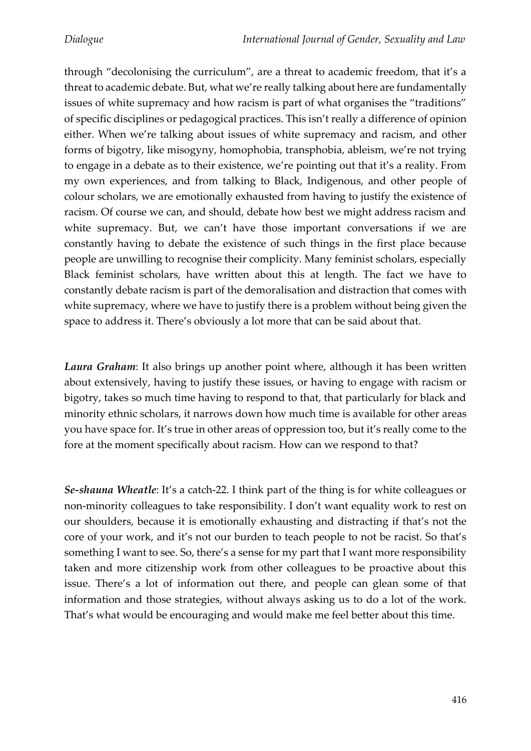through "decolonising the curriculum", are a threat to academic freedom, that it's a threat to academic debate. But, what we're really talking about here are fundamentally issues of white supremacy and how racism is part of what organises the "traditions" of specific disciplines or pedagogical practices. This isn't really a difference of opinion either. When we're talking about issues of white supremacy and racism, and other forms of bigotry, like misogyny, homophobia, transphobia, ableism, we're not trying to engage in a debate as to their existence, we're pointing out that it's a reality. From my own experiences, and from talking to Black, Indigenous, and other people of colour scholars, we are emotionally exhausted from having to justify the existence of racism. Of course we can, and should, debate how best we might address racism and white supremacy. But, we can't have those important conversations if we are constantly having to debate the existence of such things in the first place because people are unwilling to recognise their complicity. Many feminist scholars, especially Black feminist scholars, have written about this at length. The fact we have to constantly debate racism is part of the demoralisation and distraction that comes with white supremacy, where we have to justify there is a problem without being given the space to address it. There's obviously a lot more that can be said about that.

*Laura Graham*: It also brings up another point where, although it has been written about extensively, having to justify these issues, or having to engage with racism or bigotry, takes so much time having to respond to that, that particularly for black and minority ethnic scholars, it narrows down how much time is available for other areas you have space for. It's true in other areas of oppression too, but it's really come to the fore at the moment specifically about racism. How can we respond to that?

*Se-shauna Wheatle*: It's a catch-22. I think part of the thing is for white colleagues or non-minority colleagues to take responsibility. I don't want equality work to rest on our shoulders, because it is emotionally exhausting and distracting if that's not the core of your work, and it's not our burden to teach people to not be racist. So that's something I want to see. So, there's a sense for my part that I want more responsibility taken and more citizenship work from other colleagues to be proactive about this issue. There's a lot of information out there, and people can glean some of that information and those strategies, without always asking us to do a lot of the work. That's what would be encouraging and would make me feel better about this time.